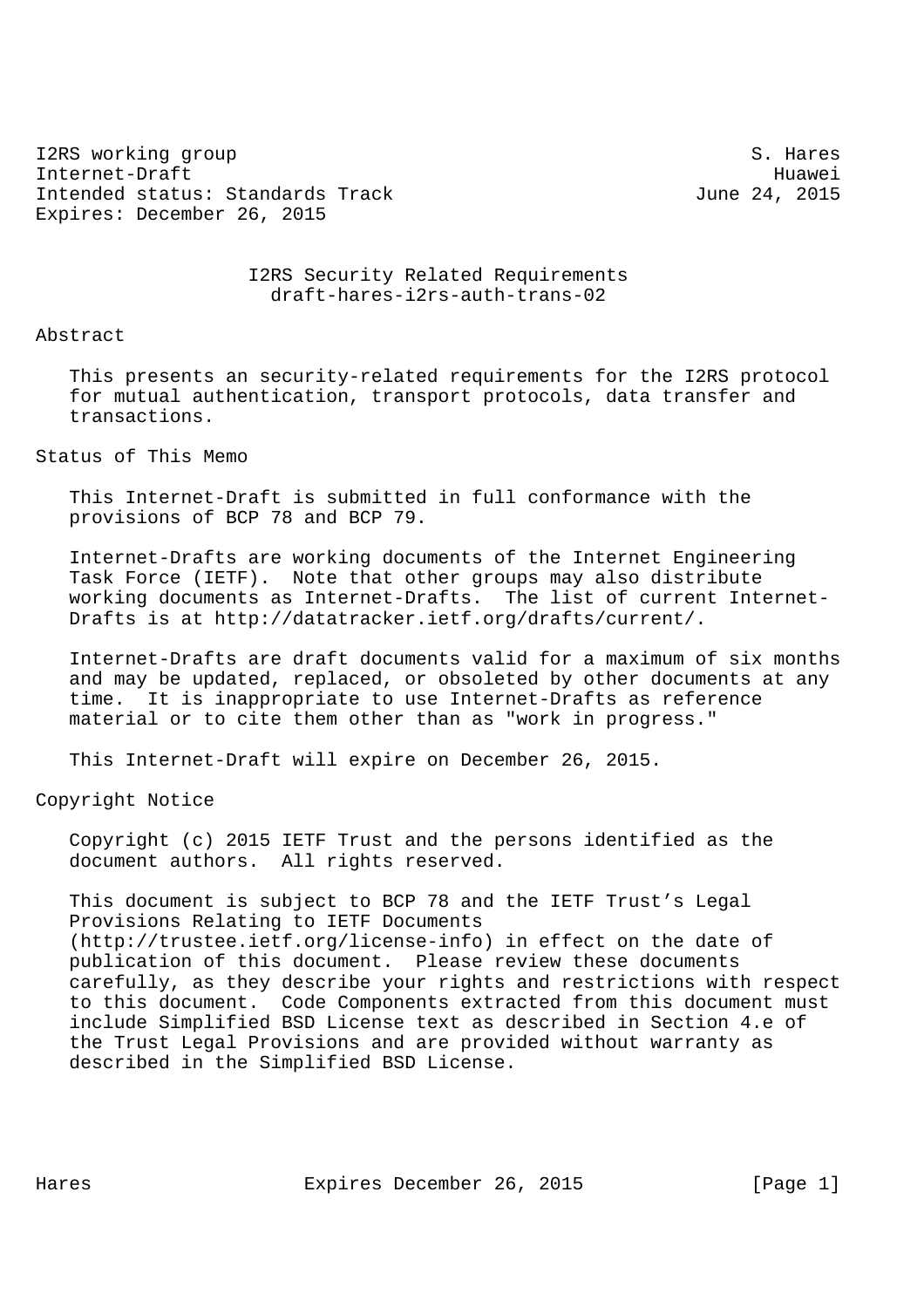I2RS working group states and states and states of the states of the states of the states of the states of the states of the states of the states of the states of the states of the states of the states of the states of the Internet-Draft Huawei Intended status: Standards Track June 24, 2015 Expires: December 26, 2015

 I2RS Security Related Requirements draft-hares-i2rs-auth-trans-02

Abstract

 This presents an security-related requirements for the I2RS protocol for mutual authentication, transport protocols, data transfer and transactions.

Status of This Memo

 This Internet-Draft is submitted in full conformance with the provisions of BCP 78 and BCP 79.

 Internet-Drafts are working documents of the Internet Engineering Task Force (IETF). Note that other groups may also distribute working documents as Internet-Drafts. The list of current Internet- Drafts is at http://datatracker.ietf.org/drafts/current/.

 Internet-Drafts are draft documents valid for a maximum of six months and may be updated, replaced, or obsoleted by other documents at any time. It is inappropriate to use Internet-Drafts as reference material or to cite them other than as "work in progress."

This Internet-Draft will expire on December 26, 2015.

Copyright Notice

 Copyright (c) 2015 IETF Trust and the persons identified as the document authors. All rights reserved.

 This document is subject to BCP 78 and the IETF Trust's Legal Provisions Relating to IETF Documents (http://trustee.ietf.org/license-info) in effect on the date of publication of this document. Please review these documents carefully, as they describe your rights and restrictions with respect to this document. Code Components extracted from this document must include Simplified BSD License text as described in Section 4.e of the Trust Legal Provisions and are provided without warranty as described in the Simplified BSD License.

Hares **Expires December 26, 2015** [Page 1]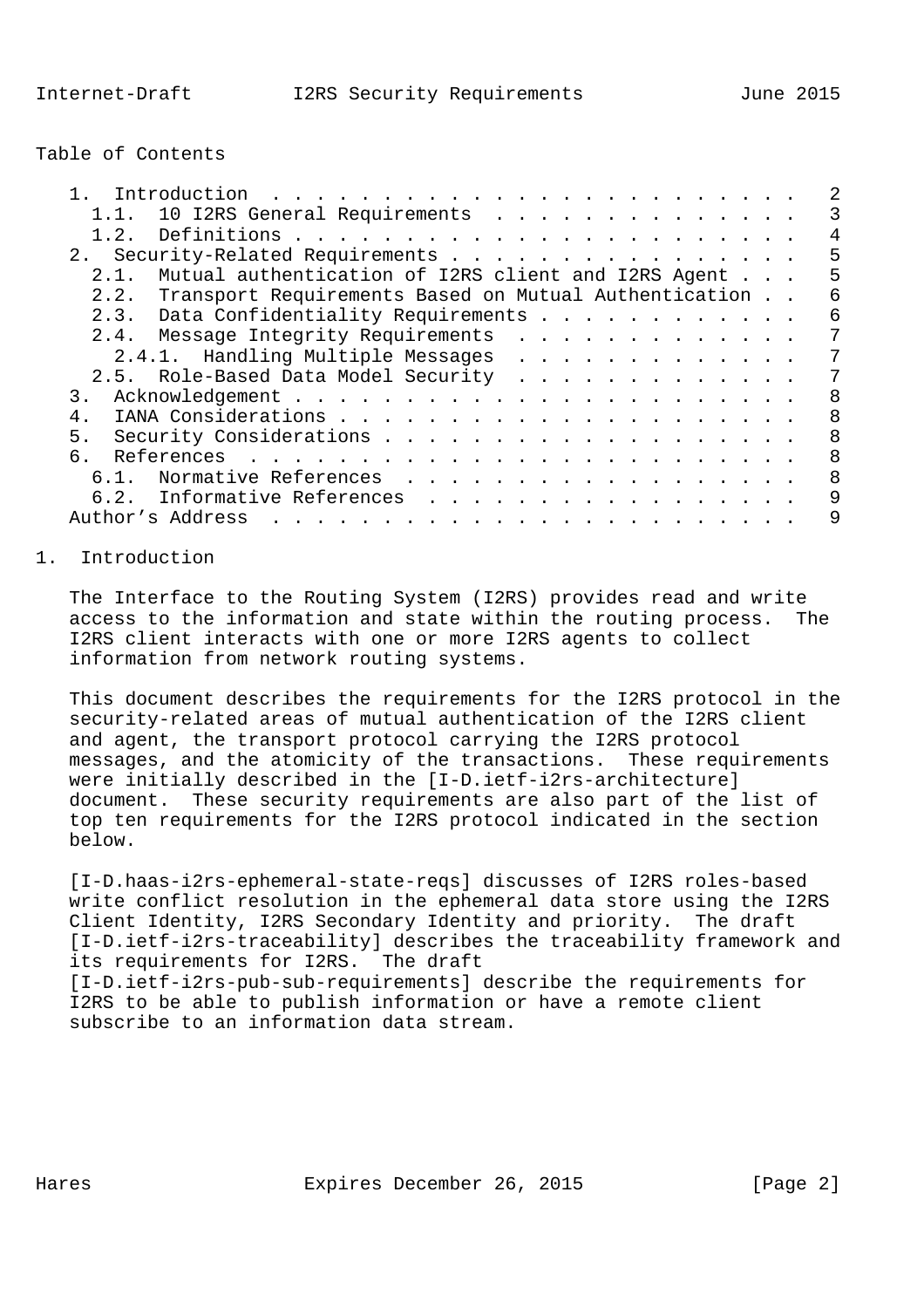Table of Contents

| Introduction<br><u>. In the second contract of the second contract of the second contract of the second contract of the second contract of the second contract of the second contract of the second contract of the second contract of the secon</u> |   |
|------------------------------------------------------------------------------------------------------------------------------------------------------------------------------------------------------------------------------------------------------|---|
| 10 I2RS General Requirements<br>1.1.                                                                                                                                                                                                                 |   |
| 1.2.                                                                                                                                                                                                                                                 | 4 |
| 2. Security-Related Requirements                                                                                                                                                                                                                     | 5 |
| Mutual authentication of I2RS client and I2RS Agent<br>2.1.                                                                                                                                                                                          | 5 |
| 2.2. Transport Requirements Based on Mutual Authentication                                                                                                                                                                                           | 6 |
| 2.3. Data Confidentiality Requirements                                                                                                                                                                                                               | 6 |
| 2.4. Message Integrity Requirements                                                                                                                                                                                                                  | 7 |
| 2.4.1. Handling Multiple Messages                                                                                                                                                                                                                    | 7 |
| 2.5. Role-Based Data Model Security                                                                                                                                                                                                                  | 7 |
|                                                                                                                                                                                                                                                      | 8 |
| 4.                                                                                                                                                                                                                                                   | 8 |
| 5.                                                                                                                                                                                                                                                   | 8 |
| რ.                                                                                                                                                                                                                                                   | 8 |
| 6.1. Normative References                                                                                                                                                                                                                            | 8 |
| 6.2. Informative References                                                                                                                                                                                                                          | 9 |
| Author's Address<br>and the company of the company of the company of the company of the company of the company of the company of the company of the company of the company of the company of the company of the company of the company of the comp   | 9 |

## 1. Introduction

 The Interface to the Routing System (I2RS) provides read and write access to the information and state within the routing process. The I2RS client interacts with one or more I2RS agents to collect information from network routing systems.

 This document describes the requirements for the I2RS protocol in the security-related areas of mutual authentication of the I2RS client and agent, the transport protocol carrying the I2RS protocol messages, and the atomicity of the transactions. These requirements were initially described in the [I-D.ietf-i2rs-architecture] document. These security requirements are also part of the list of top ten requirements for the I2RS protocol indicated in the section below.

 [I-D.haas-i2rs-ephemeral-state-reqs] discusses of I2RS roles-based write conflict resolution in the ephemeral data store using the I2RS Client Identity, I2RS Secondary Identity and priority. The draft [I-D.ietf-i2rs-traceability] describes the traceability framework and its requirements for I2RS. The draft [I-D.ietf-i2rs-pub-sub-requirements] describe the requirements for I2RS to be able to publish information or have a remote client subscribe to an information data stream.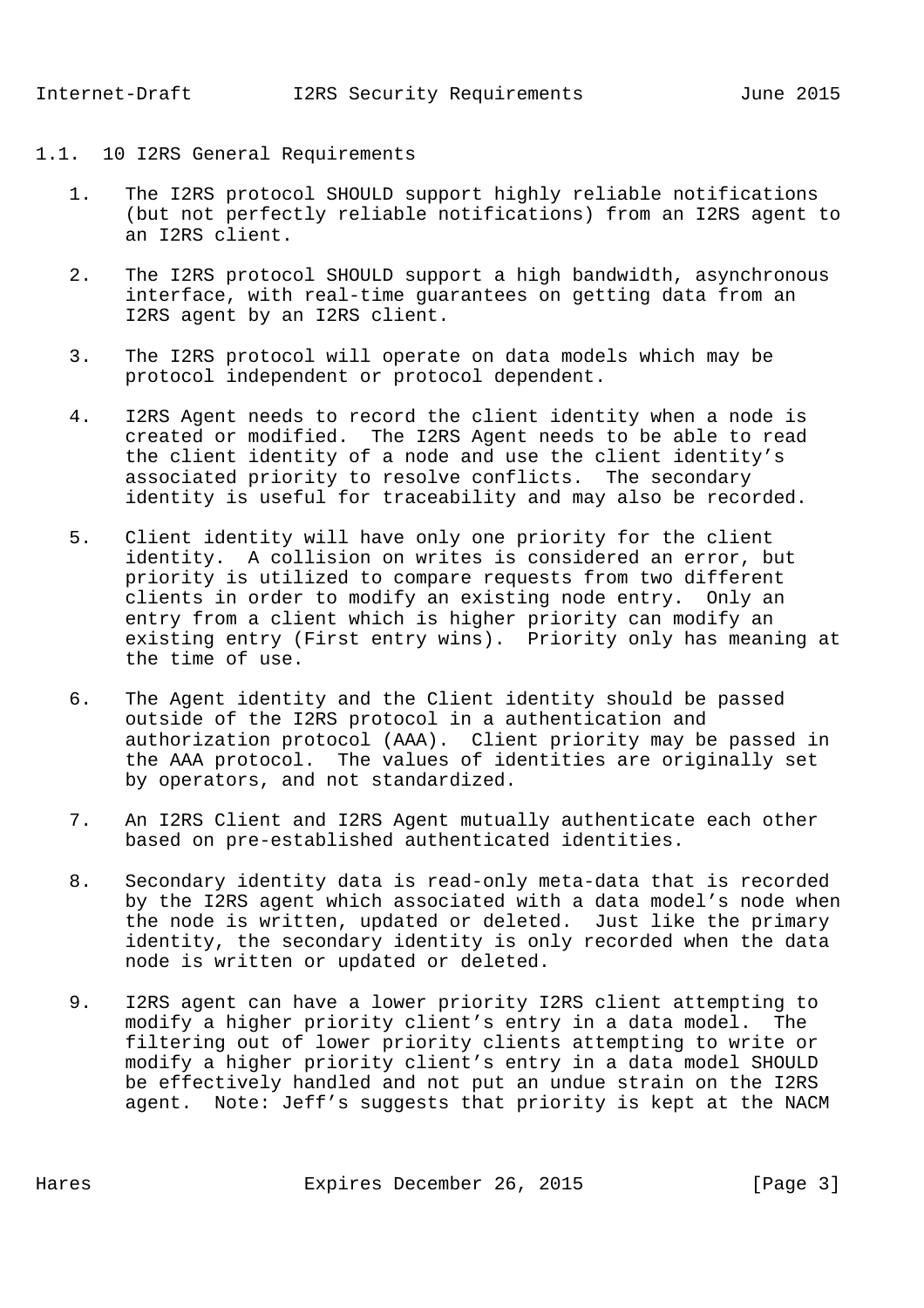## 1.1. 10 I2RS General Requirements

- 1. The I2RS protocol SHOULD support highly reliable notifications (but not perfectly reliable notifications) from an I2RS agent to an I2RS client.
- 2. The I2RS protocol SHOULD support a high bandwidth, asynchronous interface, with real-time guarantees on getting data from an I2RS agent by an I2RS client.
- 3. The I2RS protocol will operate on data models which may be protocol independent or protocol dependent.
- 4. I2RS Agent needs to record the client identity when a node is created or modified. The I2RS Agent needs to be able to read the client identity of a node and use the client identity's associated priority to resolve conflicts. The secondary identity is useful for traceability and may also be recorded.
- 5. Client identity will have only one priority for the client identity. A collision on writes is considered an error, but priority is utilized to compare requests from two different clients in order to modify an existing node entry. Only an entry from a client which is higher priority can modify an existing entry (First entry wins). Priority only has meaning at the time of use.
- 6. The Agent identity and the Client identity should be passed outside of the I2RS protocol in a authentication and authorization protocol (AAA). Client priority may be passed in the AAA protocol. The values of identities are originally set by operators, and not standardized.
- 7. An I2RS Client and I2RS Agent mutually authenticate each other based on pre-established authenticated identities.
- 8. Secondary identity data is read-only meta-data that is recorded by the I2RS agent which associated with a data model's node when the node is written, updated or deleted. Just like the primary identity, the secondary identity is only recorded when the data node is written or updated or deleted.
- 9. I2RS agent can have a lower priority I2RS client attempting to modify a higher priority client's entry in a data model. The filtering out of lower priority clients attempting to write or modify a higher priority client's entry in a data model SHOULD be effectively handled and not put an undue strain on the I2RS agent. Note: Jeff's suggests that priority is kept at the NACM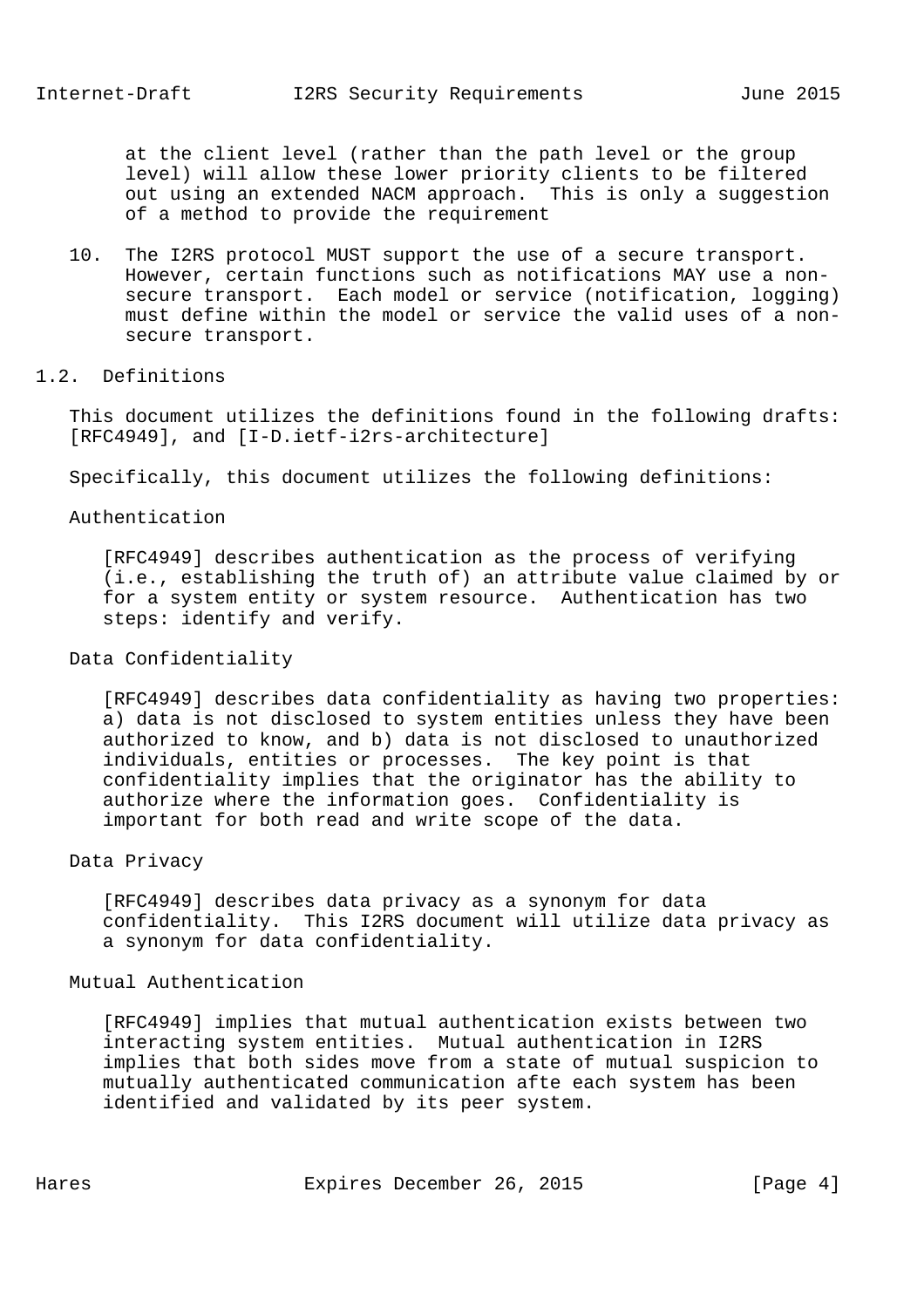at the client level (rather than the path level or the group level) will allow these lower priority clients to be filtered out using an extended NACM approach. This is only a suggestion of a method to provide the requirement

 10. The I2RS protocol MUST support the use of a secure transport. However, certain functions such as notifications MAY use a non secure transport. Each model or service (notification, logging) must define within the model or service the valid uses of a non secure transport.

### 1.2. Definitions

 This document utilizes the definitions found in the following drafts: [RFC4949], and [I-D.ietf-i2rs-architecture]

Specifically, this document utilizes the following definitions:

### Authentication

 [RFC4949] describes authentication as the process of verifying (i.e., establishing the truth of) an attribute value claimed by or for a system entity or system resource. Authentication has two steps: identify and verify.

## Data Confidentiality

 [RFC4949] describes data confidentiality as having two properties: a) data is not disclosed to system entities unless they have been authorized to know, and b) data is not disclosed to unauthorized individuals, entities or processes. The key point is that confidentiality implies that the originator has the ability to authorize where the information goes. Confidentiality is important for both read and write scope of the data.

### Data Privacy

 [RFC4949] describes data privacy as a synonym for data confidentiality. This I2RS document will utilize data privacy as a synonym for data confidentiality.

## Mutual Authentication

 [RFC4949] implies that mutual authentication exists between two interacting system entities. Mutual authentication in I2RS implies that both sides move from a state of mutual suspicion to mutually authenticated communication afte each system has been identified and validated by its peer system.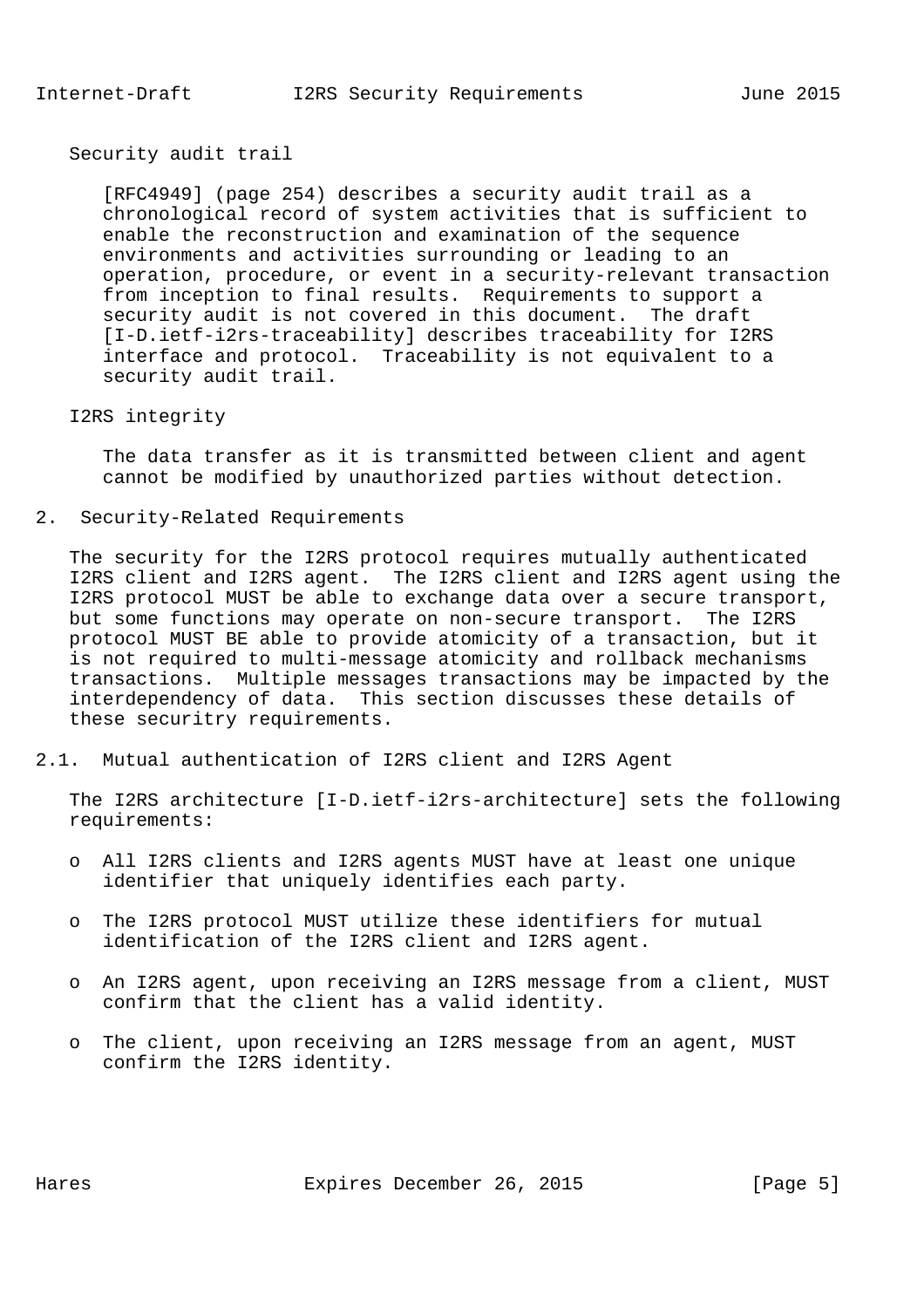Security audit trail

 [RFC4949] (page 254) describes a security audit trail as a chronological record of system activities that is sufficient to enable the reconstruction and examination of the sequence environments and activities surrounding or leading to an operation, procedure, or event in a security-relevant transaction from inception to final results. Requirements to support a security audit is not covered in this document. The draft [I-D.ietf-i2rs-traceability] describes traceability for I2RS interface and protocol. Traceability is not equivalent to a security audit trail.

### I2RS integrity

 The data transfer as it is transmitted between client and agent cannot be modified by unauthorized parties without detection.

2. Security-Related Requirements

 The security for the I2RS protocol requires mutually authenticated I2RS client and I2RS agent. The I2RS client and I2RS agent using the I2RS protocol MUST be able to exchange data over a secure transport, but some functions may operate on non-secure transport. The I2RS protocol MUST BE able to provide atomicity of a transaction, but it is not required to multi-message atomicity and rollback mechanisms transactions. Multiple messages transactions may be impacted by the interdependency of data. This section discusses these details of these securitry requirements.

2.1. Mutual authentication of I2RS client and I2RS Agent

 The I2RS architecture [I-D.ietf-i2rs-architecture] sets the following requirements:

- o All I2RS clients and I2RS agents MUST have at least one unique identifier that uniquely identifies each party.
- o The I2RS protocol MUST utilize these identifiers for mutual identification of the I2RS client and I2RS agent.
- o An I2RS agent, upon receiving an I2RS message from a client, MUST confirm that the client has a valid identity.
- o The client, upon receiving an I2RS message from an agent, MUST confirm the I2RS identity.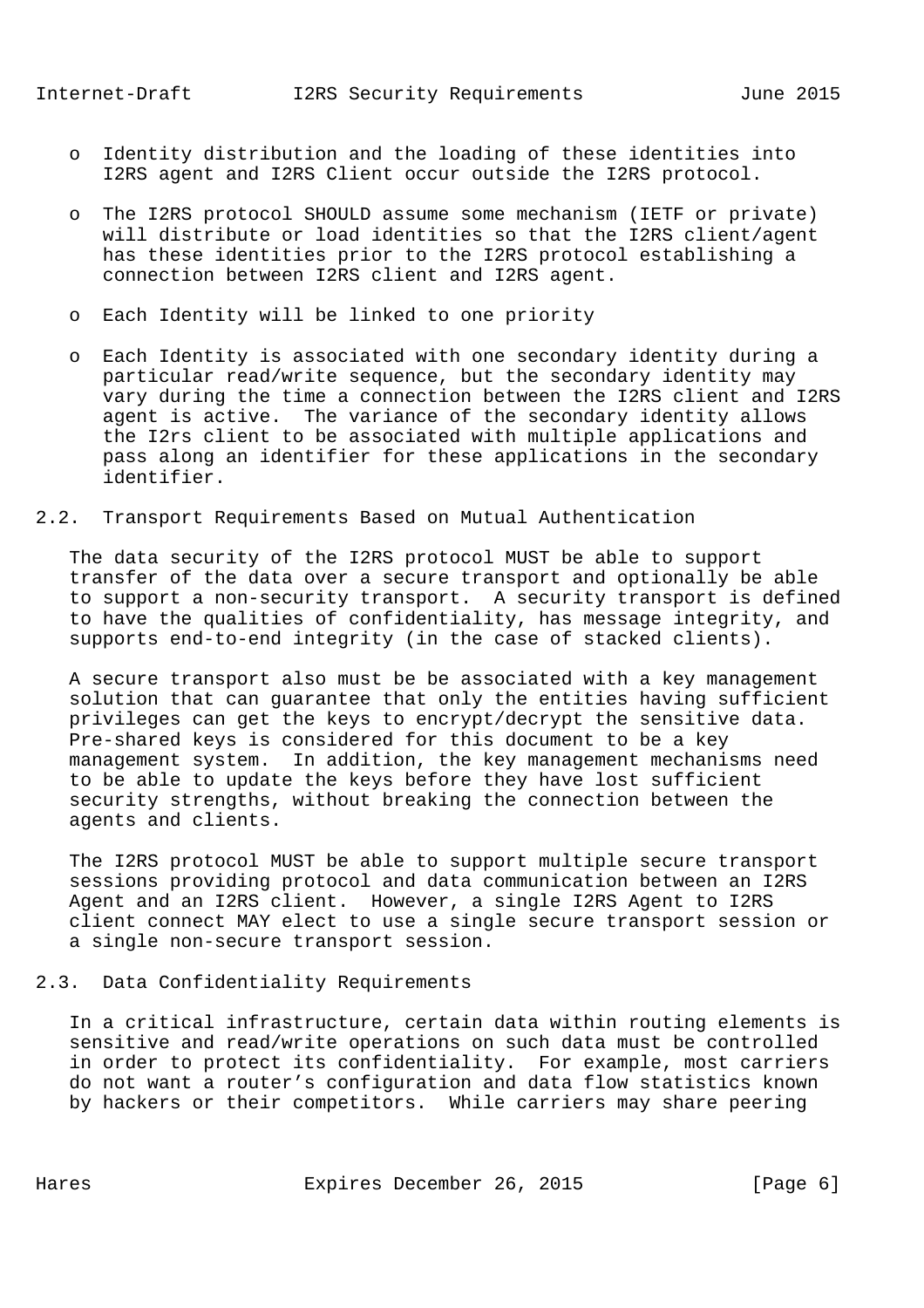- o Identity distribution and the loading of these identities into I2RS agent and I2RS Client occur outside the I2RS protocol.
- o The I2RS protocol SHOULD assume some mechanism (IETF or private) will distribute or load identities so that the I2RS client/agent has these identities prior to the I2RS protocol establishing a connection between I2RS client and I2RS agent.
- o Each Identity will be linked to one priority
- o Each Identity is associated with one secondary identity during a particular read/write sequence, but the secondary identity may vary during the time a connection between the I2RS client and I2RS agent is active. The variance of the secondary identity allows the I2rs client to be associated with multiple applications and pass along an identifier for these applications in the secondary identifier.
- 2.2. Transport Requirements Based on Mutual Authentication

 The data security of the I2RS protocol MUST be able to support transfer of the data over a secure transport and optionally be able to support a non-security transport. A security transport is defined to have the qualities of confidentiality, has message integrity, and supports end-to-end integrity (in the case of stacked clients).

 A secure transport also must be be associated with a key management solution that can guarantee that only the entities having sufficient privileges can get the keys to encrypt/decrypt the sensitive data. Pre-shared keys is considered for this document to be a key management system. In addition, the key management mechanisms need to be able to update the keys before they have lost sufficient security strengths, without breaking the connection between the agents and clients.

 The I2RS protocol MUST be able to support multiple secure transport sessions providing protocol and data communication between an I2RS Agent and an I2RS client. However, a single I2RS Agent to I2RS client connect MAY elect to use a single secure transport session or a single non-secure transport session.

## 2.3. Data Confidentiality Requirements

 In a critical infrastructure, certain data within routing elements is sensitive and read/write operations on such data must be controlled in order to protect its confidentiality. For example, most carriers do not want a router's configuration and data flow statistics known by hackers or their competitors. While carriers may share peering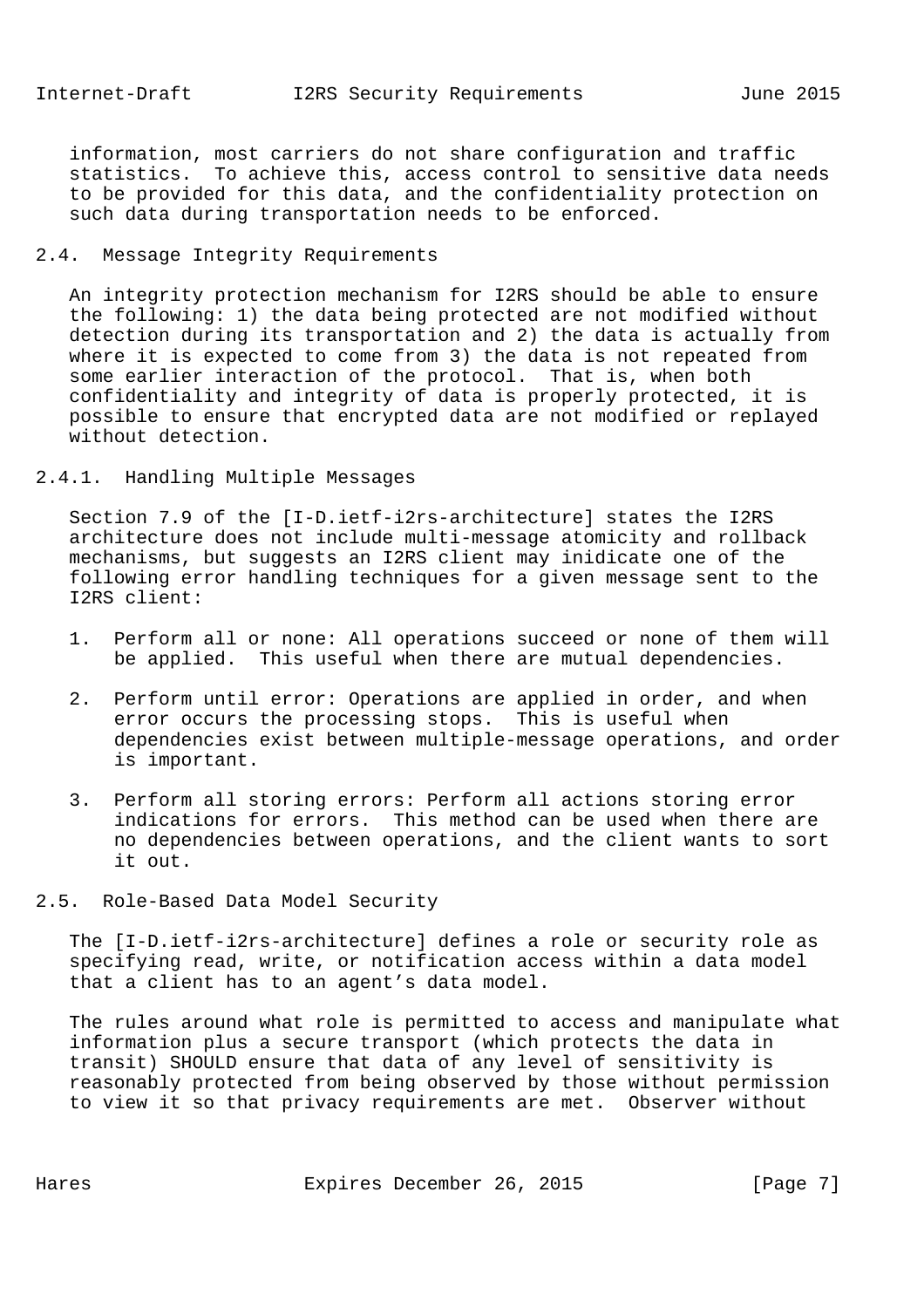information, most carriers do not share configuration and traffic statistics. To achieve this, access control to sensitive data needs to be provided for this data, and the confidentiality protection on such data during transportation needs to be enforced.

## 2.4. Message Integrity Requirements

 An integrity protection mechanism for I2RS should be able to ensure the following: 1) the data being protected are not modified without detection during its transportation and 2) the data is actually from where it is expected to come from 3) the data is not repeated from some earlier interaction of the protocol. That is, when both confidentiality and integrity of data is properly protected, it is possible to ensure that encrypted data are not modified or replayed without detection.

# 2.4.1. Handling Multiple Messages

 Section 7.9 of the [I-D.ietf-i2rs-architecture] states the I2RS architecture does not include multi-message atomicity and rollback mechanisms, but suggests an I2RS client may inidicate one of the following error handling techniques for a given message sent to the I2RS client:

- 1. Perform all or none: All operations succeed or none of them will be applied. This useful when there are mutual dependencies.
- 2. Perform until error: Operations are applied in order, and when error occurs the processing stops. This is useful when dependencies exist between multiple-message operations, and order is important.
- 3. Perform all storing errors: Perform all actions storing error indications for errors. This method can be used when there are no dependencies between operations, and the client wants to sort it out.
- 2.5. Role-Based Data Model Security

 The [I-D.ietf-i2rs-architecture] defines a role or security role as specifying read, write, or notification access within a data model that a client has to an agent's data model.

 The rules around what role is permitted to access and manipulate what information plus a secure transport (which protects the data in transit) SHOULD ensure that data of any level of sensitivity is reasonably protected from being observed by those without permission to view it so that privacy requirements are met. Observer without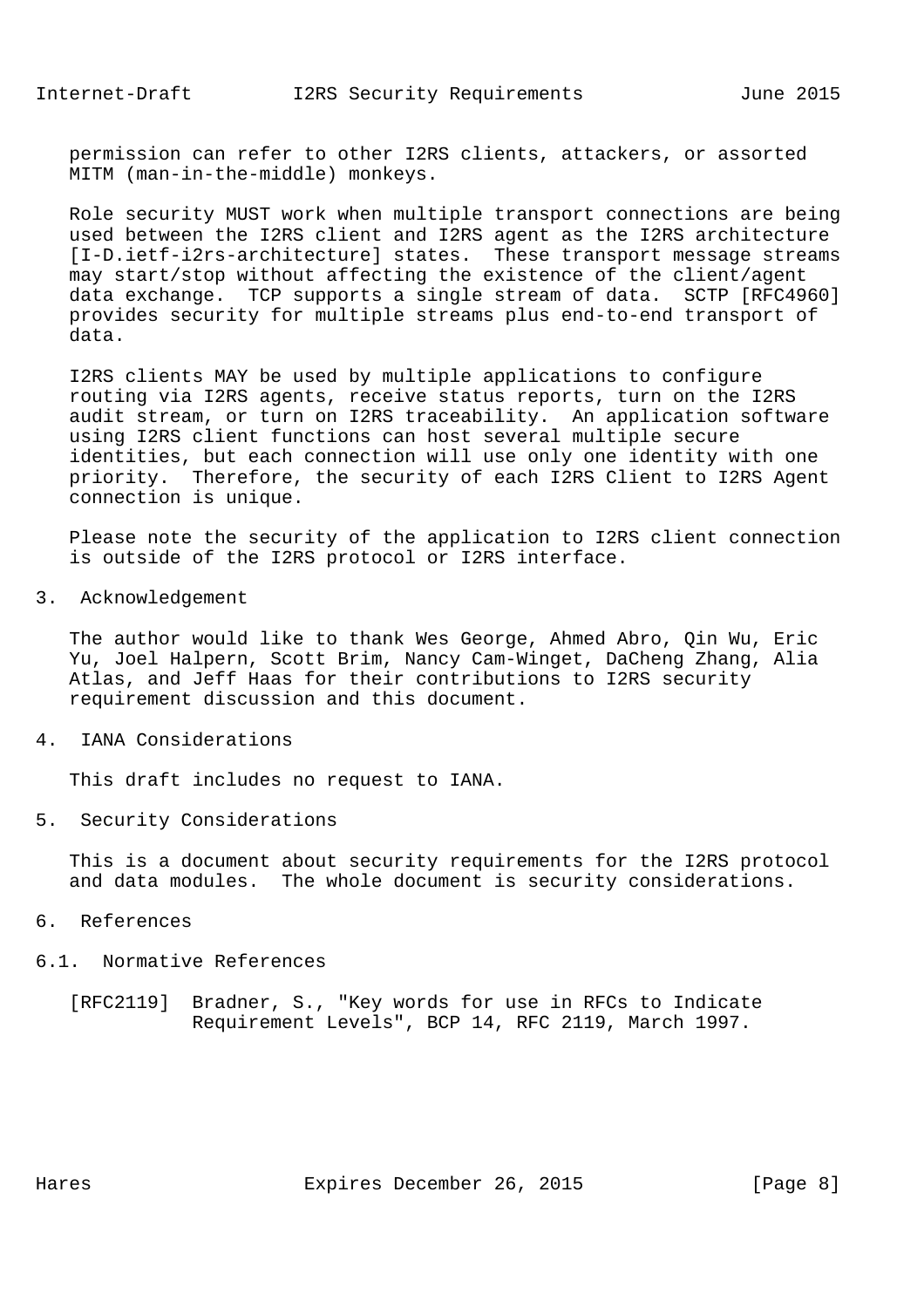permission can refer to other I2RS clients, attackers, or assorted MITM (man-in-the-middle) monkeys.

 Role security MUST work when multiple transport connections are being used between the I2RS client and I2RS agent as the I2RS architecture [I-D.ietf-i2rs-architecture] states. These transport message streams may start/stop without affecting the existence of the client/agent data exchange. TCP supports a single stream of data. SCTP [RFC4960] provides security for multiple streams plus end-to-end transport of data.

 I2RS clients MAY be used by multiple applications to configure routing via I2RS agents, receive status reports, turn on the I2RS audit stream, or turn on I2RS traceability. An application software using I2RS client functions can host several multiple secure identities, but each connection will use only one identity with one priority. Therefore, the security of each I2RS Client to I2RS Agent connection is unique.

 Please note the security of the application to I2RS client connection is outside of the I2RS protocol or I2RS interface.

3. Acknowledgement

 The author would like to thank Wes George, Ahmed Abro, Qin Wu, Eric Yu, Joel Halpern, Scott Brim, Nancy Cam-Winget, DaCheng Zhang, Alia Atlas, and Jeff Haas for their contributions to I2RS security requirement discussion and this document.

4. IANA Considerations

This draft includes no request to IANA.

5. Security Considerations

 This is a document about security requirements for the I2RS protocol and data modules. The whole document is security considerations.

- 6. References
- 6.1. Normative References
	- [RFC2119] Bradner, S., "Key words for use in RFCs to Indicate Requirement Levels", BCP 14, RFC 2119, March 1997.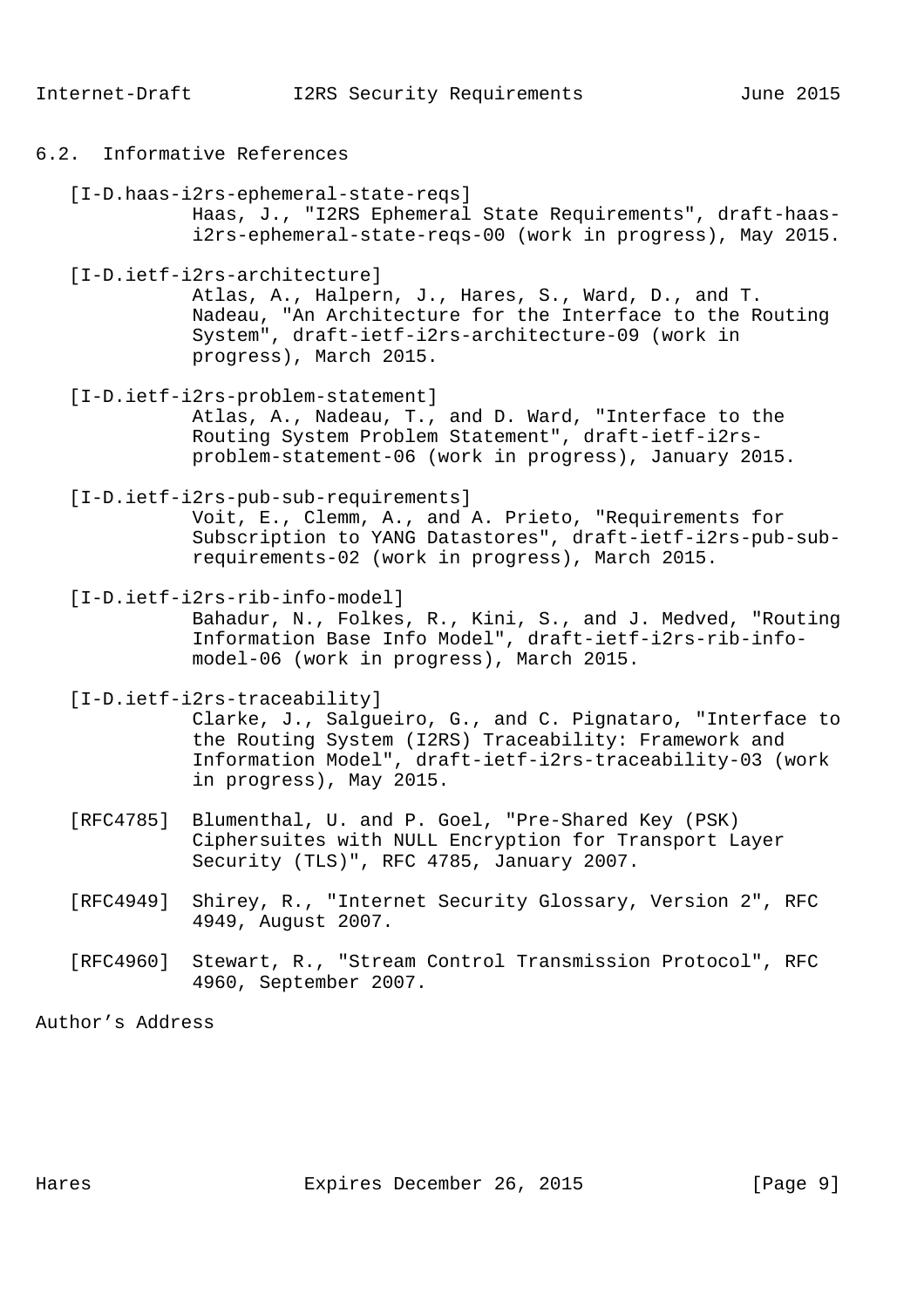- 6.2. Informative References
	- [I-D.haas-i2rs-ephemeral-state-reqs]

 Haas, J., "I2RS Ephemeral State Requirements", draft-haas i2rs-ephemeral-state-reqs-00 (work in progress), May 2015.

[I-D.ietf-i2rs-architecture]

 Atlas, A., Halpern, J., Hares, S., Ward, D., and T. Nadeau, "An Architecture for the Interface to the Routing System", draft-ietf-i2rs-architecture-09 (work in progress), March 2015.

[I-D.ietf-i2rs-problem-statement]

 Atlas, A., Nadeau, T., and D. Ward, "Interface to the Routing System Problem Statement", draft-ietf-i2rs problem-statement-06 (work in progress), January 2015.

[I-D.ietf-i2rs-pub-sub-requirements]

 Voit, E., Clemm, A., and A. Prieto, "Requirements for Subscription to YANG Datastores", draft-ietf-i2rs-pub-sub requirements-02 (work in progress), March 2015.

[I-D.ietf-i2rs-rib-info-model]

 Bahadur, N., Folkes, R., Kini, S., and J. Medved, "Routing Information Base Info Model", draft-ietf-i2rs-rib-info model-06 (work in progress), March 2015.

[I-D.ietf-i2rs-traceability]

 Clarke, J., Salgueiro, G., and C. Pignataro, "Interface to the Routing System (I2RS) Traceability: Framework and Information Model", draft-ietf-i2rs-traceability-03 (work in progress), May 2015.

- [RFC4785] Blumenthal, U. and P. Goel, "Pre-Shared Key (PSK) Ciphersuites with NULL Encryption for Transport Layer Security (TLS)", RFC 4785, January 2007.
- [RFC4949] Shirey, R., "Internet Security Glossary, Version 2", RFC 4949, August 2007.
- [RFC4960] Stewart, R., "Stream Control Transmission Protocol", RFC 4960, September 2007.

Author's Address